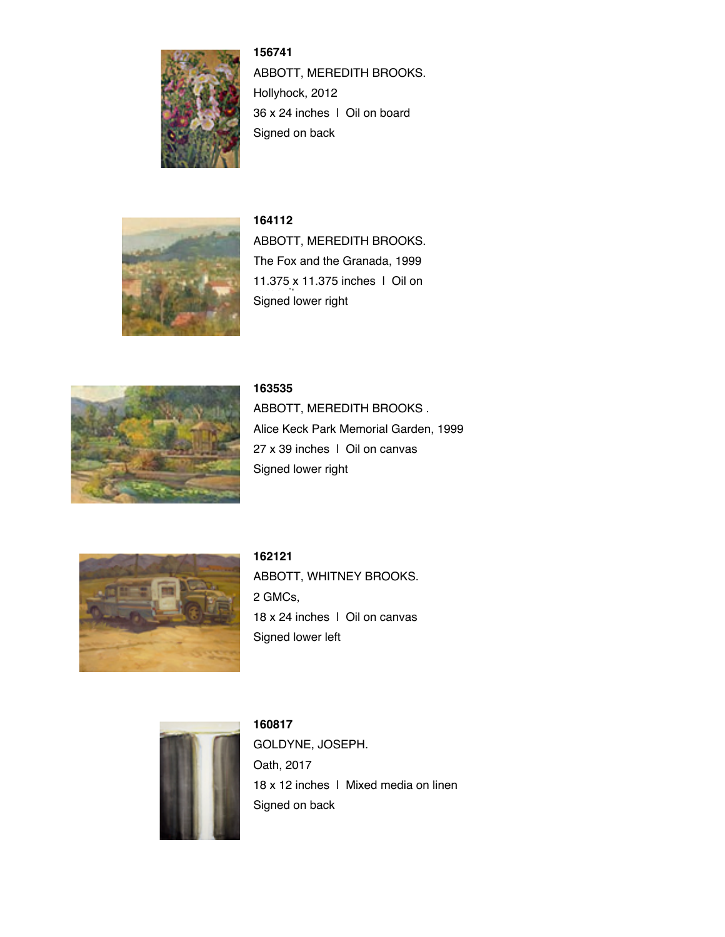

**156741** ABBOTT, MEREDITH BROOKS. Hollyhock, 2012 36 x 24 inches | Oil on board Signed on back



**164112** ABBOTT, MEREDITH BROOKS. The Fox and the Granada, 1999 11.375 x 11.375 inches | Oil on Signed lower right



### **163535**

ABBOTT, MEREDITH BROOKS . Alice Keck Park Memorial Garden, 1999 27 x 39 inches | Oil on canvas Signed lower right



**162121** ABBOTT, WHITNEY BROOKS. 2 GMCs, 18 x 24 inches | Oil on canvas Signed lower left



**160817** GOLDYNE, JOSEPH. Oath, 2017 18 x 12 inches | Mixed media on linen Signed on back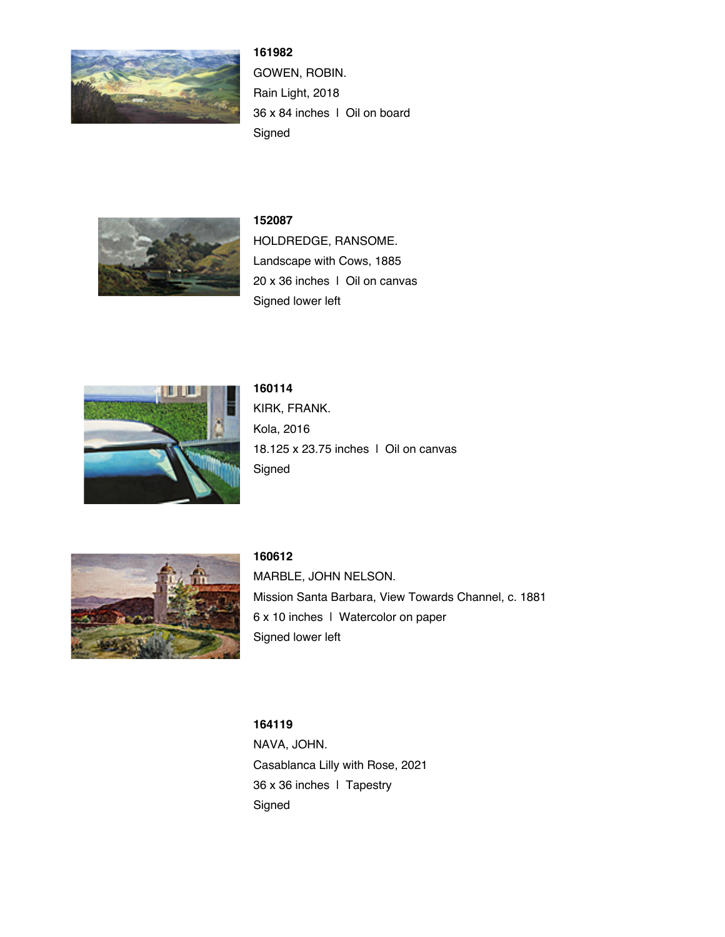

**161982** GOWEN, ROBIN. Rain Light, 2018 36 x 84 inches | Oil on board Signed



# **152087**

HOLDREDGE, RANSOME. Landscape with Cows, 1885 20 x 36 inches | Oil on canvas Signed lower left



# **160114**

KIRK, FRANK. Kola, 2016 18.125 x 23.75 inches | Oil on canvas Signed



## **160612**

MARBLE, JOHN NELSON. Mission Santa Barbara, View Towards Channel, c. 1881 6 x 10 inches | Watercolor on paper Signed lower left

### **164119**

NAVA, JOHN. Casablanca Lilly with Rose, 2021 36 x 36 inches | Tapestry Signed